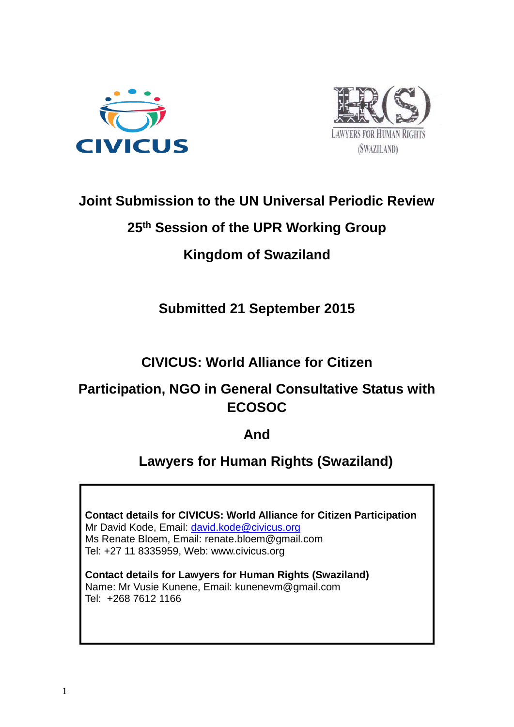



### **Joint Submission to the UN Universal Periodic Review**

### **25th Session of the UPR Working Group**

# **Kingdom of Swaziland**

# **Submitted 21 September 2015**

## **CIVICUS: World Alliance for Citizen**

## **Participation, NGO in General Consultative Status with ECOSOC**

### **And**

## **Lawyers for Human Rights (Swaziland)**

**Contact details for CIVICUS: World Alliance for Citizen Participation** Mr David Kode, Email: [david.kode@civicus.org](mailto:david.kode@civicus.org) Ms Renate Bloem, Email: [renate.bloem@gmail.com](mailto:renate.bloem@gmail.com) Tel: +27 11 8335959, Web: [www.civicus.org](http://www.civicus.org/)

**Contact details for Lawyers for Human Rights (Swaziland)**  Name: Mr Vusie Kunene, Email: kunenevm@gmail.com Tel: +268 7612 1166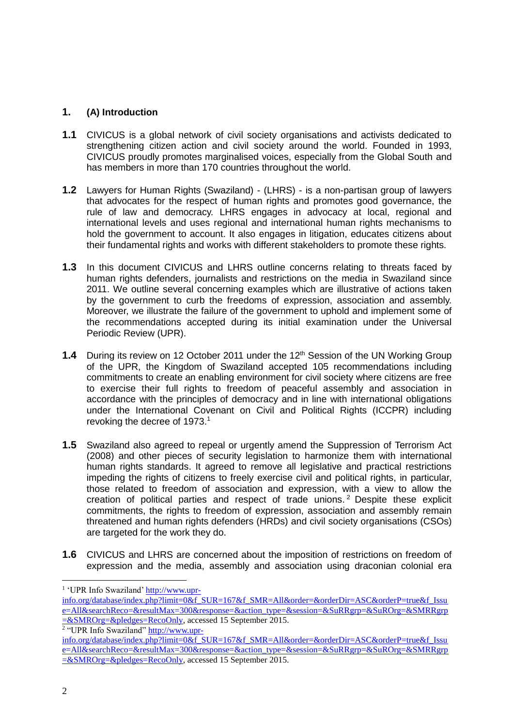#### **1. (A) Introduction**

- **1.1** CIVICUS is a global network of civil society organisations and activists dedicated to strengthening citizen action and civil society around the world. Founded in 1993, CIVICUS proudly promotes marginalised voices, especially from the Global South and has members in more than 170 countries throughout the world.
- **1.2** Lawyers for Human Rights (Swaziland) (LHRS) is a non-partisan group of lawyers that advocates for the respect of human rights and promotes good governance, the rule of law and democracy. LHRS engages in advocacy at local, regional and international levels and uses regional and international human rights mechanisms to hold the government to account. It also engages in litigation, educates citizens about their fundamental rights and works with different stakeholders to promote these rights.
- **1.3** In this document CIVICUS and LHRS outline concerns relating to threats faced by human rights defenders, journalists and restrictions on the media in Swaziland since 2011. We outline several concerning examples which are illustrative of actions taken by the government to curb the freedoms of expression, association and assembly. Moreover, we illustrate the failure of the government to uphold and implement some of the recommendations accepted during its initial examination under the Universal Periodic Review (UPR).
- **1.4** During its review on 12 October 2011 under the 12<sup>th</sup> Session of the UN Working Group of the UPR, the Kingdom of Swaziland accepted 105 recommendations including commitments to create an enabling environment for civil society where citizens are free to exercise their full rights to freedom of peaceful assembly and association in accordance with the principles of democracy and in line with international obligations under the International Covenant on Civil and Political Rights (ICCPR) including revoking the decree of 1973.<sup>1</sup>
- **1.5** Swaziland also agreed to repeal or urgently amend the Suppression of Terrorism Act (2008) and other pieces of security legislation to harmonize them with international human rights standards. It agreed to remove all legislative and practical restrictions impeding the rights of citizens to freely exercise civil and political rights, in particular, those related to freedom of association and expression, with a view to allow the creation of political parties and respect of trade unions. <sup>2</sup> Despite these explicit commitments, the rights to freedom of expression, association and assembly remain threatened and human rights defenders (HRDs) and civil society organisations (CSOs) are targeted for the work they do.
- **1.6** CIVICUS and LHRS are concerned about the imposition of restrictions on freedom of expression and the media, assembly and association using draconian colonial era

<sup>2</sup> "UPR Info Swaziland" [http://www.upr-](http://www.upr-info.org/database/index.php?limit=0&f_SUR=167&f_SMR=All&order=&orderDir=ASC&orderP=true&f_Issue=All&searchReco=&resultMax=300&response=&action_type=&session=&SuRRgrp=&SuROrg=&SMRRgrp=&SMROrg=&pledges=RecoOnly)

<sup>&</sup>lt;sup>1</sup> 'UPR Info Swaziland[' http://www.upr-](http://www.upr-info.org/database/index.php?limit=0&f_SUR=167&f_SMR=All&order=&orderDir=ASC&orderP=true&f_Issue=All&searchReco=&resultMax=300&response=&action_type=&session=&SuRRgrp=&SuROrg=&SMRRgrp=&SMROrg=&pledges=RecoOnly)

[info.org/database/index.php?limit=0&f\\_SUR=167&f\\_SMR=All&order=&orderDir=ASC&orderP=true&f\\_Issu](http://www.upr-info.org/database/index.php?limit=0&f_SUR=167&f_SMR=All&order=&orderDir=ASC&orderP=true&f_Issue=All&searchReco=&resultMax=300&response=&action_type=&session=&SuRRgrp=&SuROrg=&SMRRgrp=&SMROrg=&pledges=RecoOnly) [e=All&searchReco=&resultMax=300&response=&action\\_type=&session=&SuRRgrp=&SuROrg=&SMRRgrp](http://www.upr-info.org/database/index.php?limit=0&f_SUR=167&f_SMR=All&order=&orderDir=ASC&orderP=true&f_Issue=All&searchReco=&resultMax=300&response=&action_type=&session=&SuRRgrp=&SuROrg=&SMRRgrp=&SMROrg=&pledges=RecoOnly) [=&SMROrg=&pledges=RecoOnly,](http://www.upr-info.org/database/index.php?limit=0&f_SUR=167&f_SMR=All&order=&orderDir=ASC&orderP=true&f_Issue=All&searchReco=&resultMax=300&response=&action_type=&session=&SuRRgrp=&SuROrg=&SMRRgrp=&SMROrg=&pledges=RecoOnly) accessed 15 September 2015.

[info.org/database/index.php?limit=0&f\\_SUR=167&f\\_SMR=All&order=&orderDir=ASC&orderP=true&f\\_Issu](http://www.upr-info.org/database/index.php?limit=0&f_SUR=167&f_SMR=All&order=&orderDir=ASC&orderP=true&f_Issue=All&searchReco=&resultMax=300&response=&action_type=&session=&SuRRgrp=&SuROrg=&SMRRgrp=&SMROrg=&pledges=RecoOnly) [e=All&searchReco=&resultMax=300&response=&action\\_type=&session=&SuRRgrp=&SuROrg=&SMRRgrp](http://www.upr-info.org/database/index.php?limit=0&f_SUR=167&f_SMR=All&order=&orderDir=ASC&orderP=true&f_Issue=All&searchReco=&resultMax=300&response=&action_type=&session=&SuRRgrp=&SuROrg=&SMRRgrp=&SMROrg=&pledges=RecoOnly) [=&SMROrg=&pledges=RecoOnly,](http://www.upr-info.org/database/index.php?limit=0&f_SUR=167&f_SMR=All&order=&orderDir=ASC&orderP=true&f_Issue=All&searchReco=&resultMax=300&response=&action_type=&session=&SuRRgrp=&SuROrg=&SMRRgrp=&SMROrg=&pledges=RecoOnly) accessed 15 September 2015.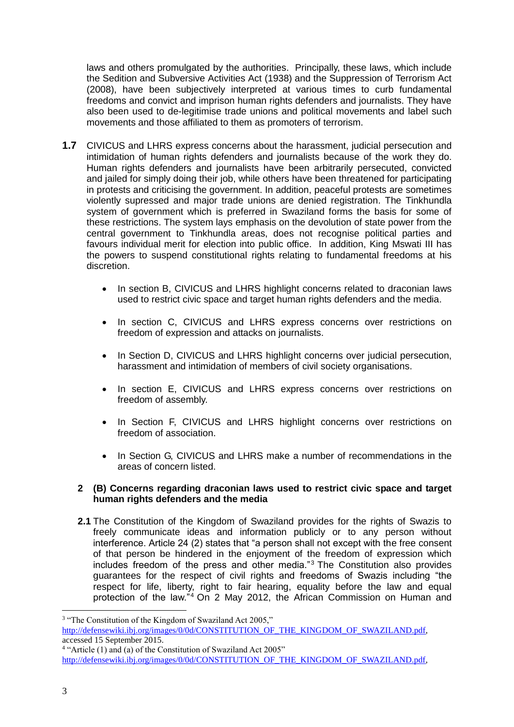laws and others promulgated by the authorities. Principally, these laws, which include the Sedition and Subversive Activities Act (1938) and the Suppression of Terrorism Act (2008), have been subjectively interpreted at various times to curb fundamental freedoms and convict and imprison human rights defenders and journalists. They have also been used to de-legitimise trade unions and political movements and label such movements and those affiliated to them as promoters of terrorism.

- **1.7** CIVICUS and LHRS express concerns about the harassment, judicial persecution and intimidation of human rights defenders and journalists because of the work they do. Human rights defenders and journalists have been arbitrarily persecuted, convicted and jailed for simply doing their job, while others have been threatened for participating in protests and criticising the government. In addition, peaceful protests are sometimes violently supressed and major trade unions are denied registration. The Tinkhundla system of government which is preferred in Swaziland forms the basis for some of these restrictions. The system lays emphasis on the devolution of state power from the central government to Tinkhundla areas, does not recognise political parties and favours individual merit for election into public office. In addition, King Mswati III has the powers to suspend constitutional rights relating to fundamental freedoms at his discretion.
	- In section B, CIVICUS and LHRS highlight concerns related to draconian laws used to restrict civic space and target human rights defenders and the media.
	- In section C, CIVICUS and LHRS express concerns over restrictions on freedom of expression and attacks on journalists.
	- In Section D, CIVICUS and LHRS highlight concerns over judicial persecution, harassment and intimidation of members of civil society organisations.
	- In section E, CIVICUS and LHRS express concerns over restrictions on freedom of assembly.
	- In Section F, CIVICUS and LHRS highlight concerns over restrictions on freedom of association.
	- In Section G, CIVICUS and LHRS make a number of recommendations in the areas of concern listed.

#### **2 (B) Concerns regarding draconian laws used to restrict civic space and target human rights defenders and the media**

**2.1** The Constitution of the Kingdom of Swaziland provides for the rights of Swazis to freely communicate ideas and information publicly or to any person without interference. Article 24 (2) states that "a person shall not except with the free consent of that person be hindered in the enjoyment of the freedom of expression which includes freedom of the press and other media."<sup>3</sup> The Constitution also provides guarantees for the respect of civil rights and freedoms of Swazis including "the respect for life, liberty, right to fair hearing, equality before the law and equal protection of the law."<sup>4</sup> On 2 May 2012, the African Commission on Human and

<u>.</u>

<sup>&</sup>lt;sup>3</sup> "The Constitution of the Kingdom of Swaziland Act 2005," [http://defensewiki.ibj.org/images/0/0d/CONSTITUTION\\_OF\\_THE\\_KINGDOM\\_OF\\_SWAZILAND.pdf,](http://defensewiki.ibj.org/images/0/0d/CONSTITUTION_OF_THE_KINGDOM_OF_SWAZILAND.pdf) accessed 15 September 2015. <sup>4</sup> "Article (1) and (a) of the Constitution of Swaziland Act 2005"

[http://defensewiki.ibj.org/images/0/0d/CONSTITUTION\\_OF\\_THE\\_KINGDOM\\_OF\\_SWAZILAND.pdf,](http://defensewiki.ibj.org/images/0/0d/CONSTITUTION_OF_THE_KINGDOM_OF_SWAZILAND.pdf)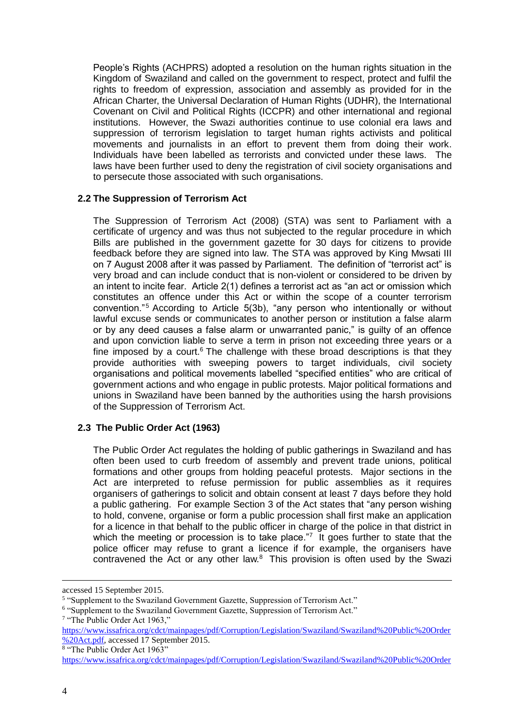People's Rights (ACHPRS) adopted a resolution on the human rights situation in the Kingdom of Swaziland and called on the government to respect, protect and fulfil the rights to freedom of expression, association and assembly as provided for in the African Charter, the Universal Declaration of Human Rights (UDHR), the International Covenant on Civil and Political Rights (ICCPR) and other international and regional institutions. However, the Swazi authorities continue to use colonial era laws and suppression of terrorism legislation to target human rights activists and political movements and journalists in an effort to prevent them from doing their work. Individuals have been labelled as terrorists and convicted under these laws. The laws have been further used to deny the registration of civil society organisations and to persecute those associated with such organisations.

#### **2.2 The Suppression of Terrorism Act**

The Suppression of Terrorism Act (2008) (STA) was sent to Parliament with a certificate of urgency and was thus not subjected to the regular procedure in which Bills are published in the government gazette for 30 days for citizens to provide feedback before they are signed into law. The STA was approved by King Mwsati III on 7 August 2008 after it was passed by Parliament. The definition of "terrorist act" is very broad and can include conduct that is non-violent or considered to be driven by an intent to incite fear. Article 2(1) defines a terrorist act as "an act or omission which constitutes an offence under this Act or within the scope of a counter terrorism convention."<sup>5</sup> According to Article 5(3b), "any person who intentionally or without lawful excuse sends or communicates to another person or institution a false alarm or by any deed causes a false alarm or unwarranted panic," is guilty of an offence and upon conviction liable to serve a term in prison not exceeding three years or a fine imposed by a court.<sup>6</sup> The challenge with these broad descriptions is that they provide authorities with sweeping powers to target individuals, civil society organisations and political movements labelled "specified entities" who are critical of government actions and who engage in public protests. Major political formations and unions in Swaziland have been banned by the authorities using the harsh provisions of the Suppression of Terrorism Act.

#### **2.3 The Public Order Act (1963)**

The Public Order Act regulates the holding of public gatherings in Swaziland and has often been used to curb freedom of assembly and prevent trade unions, political formations and other groups from holding peaceful protests. Major sections in the Act are interpreted to refuse permission for public assemblies as it requires organisers of gatherings to solicit and obtain consent at least 7 days before they hold a public gathering. For example Section 3 of the Act states that "any person wishing to hold, convene, organise or form a public procession shall first make an application for a licence in that behalf to the public officer in charge of the police in that district in which the meeting or procession is to take place. $\frac{1}{7}$  It goes further to state that the police officer may refuse to grant a licence if for example, the organisers have contravened the Act or any other law. $8$  This provision is often used by the Swazi

8 "The Public Order Act 1963"

accessed 15 September 2015.

<sup>&</sup>lt;sup>5</sup> "Supplement to the Swaziland Government Gazette, Suppression of Terrorism Act."

<sup>&</sup>lt;sup>6</sup> "Supplement to the Swaziland Government Gazette, Suppression of Terrorism Act."

<sup>&</sup>lt;sup>7</sup> "The Public Order Act 1963,"

[https://www.issafrica.org/cdct/mainpages/pdf/Corruption/Legislation/Swaziland/Swaziland%20Public%20Order](https://www.issafrica.org/cdct/mainpages/pdf/Corruption/Legislation/Swaziland/Swaziland%20Public%20Order%20Act.pdf) [%20Act.pdf,](https://www.issafrica.org/cdct/mainpages/pdf/Corruption/Legislation/Swaziland/Swaziland%20Public%20Order%20Act.pdf) accessed 17 September 2015.

[https://www.issafrica.org/cdct/mainpages/pdf/Corruption/Legislation/Swaziland/Swaziland%20Public%20Order](https://www.issafrica.org/cdct/mainpages/pdf/Corruption/Legislation/Swaziland/Swaziland%20Public%20Order%20Act.pdf)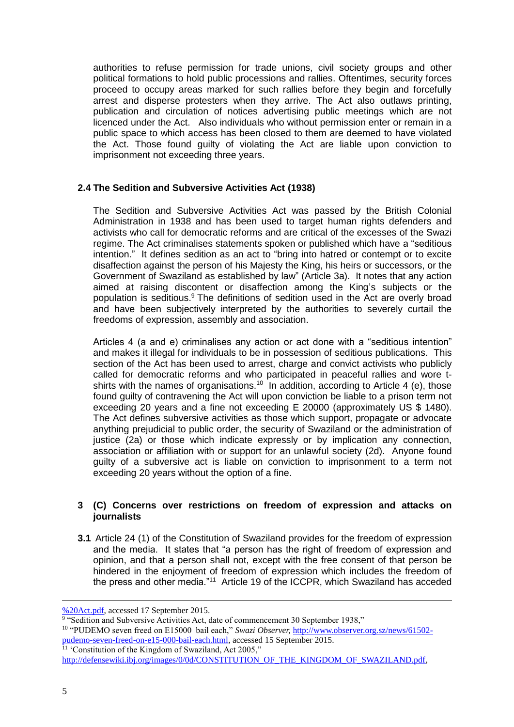authorities to refuse permission for trade unions, civil society groups and other political formations to hold public processions and rallies. Oftentimes, security forces proceed to occupy areas marked for such rallies before they begin and forcefully arrest and disperse protesters when they arrive. The Act also outlaws printing, publication and circulation of notices advertising public meetings which are not licenced under the Act. Also individuals who without permission enter or remain in a public space to which access has been closed to them are deemed to have violated the Act. Those found guilty of violating the Act are liable upon conviction to imprisonment not exceeding three years.

#### **2.4 The Sedition and Subversive Activities Act (1938)**

The Sedition and Subversive Activities Act was passed by the British Colonial Administration in 1938 and has been used to target human rights defenders and activists who call for democratic reforms and are critical of the excesses of the Swazi regime. The Act criminalises statements spoken or published which have a "seditious intention." It defines sedition as an act to "bring into hatred or contempt or to excite disaffection against the person of his Majesty the King, his heirs or successors, or the Government of Swaziland as established by law" (Article 3a). It notes that any action aimed at raising discontent or disaffection among the King's subjects or the population is seditious. <sup>9</sup> The definitions of sedition used in the Act are overly broad and have been subjectively interpreted by the authorities to severely curtail the freedoms of expression, assembly and association.

Articles 4 (a and e) criminalises any action or act done with a "seditious intention" and makes it illegal for individuals to be in possession of seditious publications. This section of the Act has been used to arrest, charge and convict activists who publicly called for democratic reforms and who participated in peaceful rallies and wore tshirts with the names of organisations.<sup>10</sup> In addition, according to Article 4 (e), those found guilty of contravening the Act will upon conviction be liable to a prison term not exceeding 20 years and a fine not exceeding E 20000 (approximately US \$ 1480). The Act defines subversive activities as those which support, propagate or advocate anything prejudicial to public order, the security of Swaziland or the administration of justice (2a) or those which indicate expressly or by implication any connection, association or affiliation with or support for an unlawful society (2d). Anyone found guilty of a subversive act is liable on conviction to imprisonment to a term not exceeding 20 years without the option of a fine.

#### **3 (C) Concerns over restrictions on freedom of expression and attacks on journalists**

**3.1** Article 24 (1) of the Constitution of Swaziland provides for the freedom of expression and the media. It states that "a person has the right of freedom of expression and opinion, and that a person shall not, except with the free consent of that person be hindered in the enjoyment of freedom of expression which includes the freedom of the press and other media."<sup>11</sup> Article 19 of the ICCPR, which Swaziland has acceded

[<sup>%20</sup>Act.pdf,](https://www.issafrica.org/cdct/mainpages/pdf/Corruption/Legislation/Swaziland/Swaziland%20Public%20Order%20Act.pdf) accessed 17 September 2015.

<sup>&</sup>lt;sup>9</sup> "Sedition and Subversive Activities Act, date of commencement 30 September 1938,"

<sup>&</sup>lt;sup>10</sup> "PUDEMO seven freed on E15000 bail each," *Swazi Observer*, [http://www.observer.org.sz/news/61502](http://www.observer.org.sz/news/61502-pudemo-seven-freed-on-e15-000-bail-each.html) [pudemo-seven-freed-on-e15-000-bail-each.html,](http://www.observer.org.sz/news/61502-pudemo-seven-freed-on-e15-000-bail-each.html) accessed 15 September 2015.  $11$  'Constitution of the Kingdom of Swaziland, Act 2005."

[http://defensewiki.ibj.org/images/0/0d/CONSTITUTION\\_OF\\_THE\\_KINGDOM\\_OF\\_SWAZILAND.pdf,](http://defensewiki.ibj.org/images/0/0d/CONSTITUTION_OF_THE_KINGDOM_OF_SWAZILAND.pdf)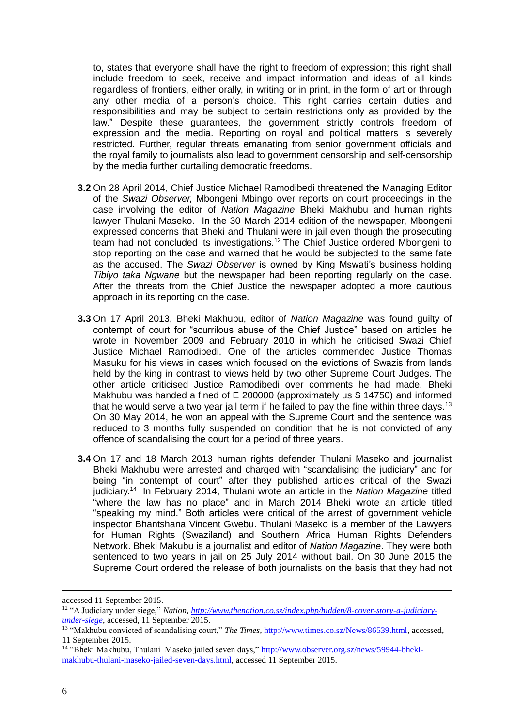to, states that everyone shall have the right to freedom of expression; this right shall include freedom to seek, receive and impact information and ideas of all kinds regardless of frontiers, either orally, in writing or in print, in the form of art or through any other media of a person's choice. This right carries certain duties and responsibilities and may be subject to certain restrictions only as provided by the law." Despite these guarantees, the government strictly controls freedom of expression and the media. Reporting on royal and political matters is severely restricted. Further, regular threats emanating from senior government officials and the royal family to journalists also lead to government censorship and self-censorship by the media further curtailing democratic freedoms.

- **3.2** On 28 April 2014, Chief Justice Michael Ramodibedi threatened the Managing Editor of the *Swazi Observer,* Mbongeni Mbingo over reports on court proceedings in the case involving the editor of *Nation Magazine* Bheki Makhubu and human rights lawyer Thulani Maseko. In the 30 March 2014 edition of the newspaper, Mbongeni expressed concerns that Bheki and Thulani were in jail even though the prosecuting team had not concluded its investigations.<sup>12</sup> The Chief Justice ordered Mbongeni to stop reporting on the case and warned that he would be subjected to the same fate as the accused. The *Swazi Observer* is owned by King Mswati's business holding *Tibiyo taka Ngwane* but the newspaper had been reporting regularly on the case. After the threats from the Chief Justice the newspaper adopted a more cautious approach in its reporting on the case.
- **3.3** On 17 April 2013, Bheki Makhubu, editor of *Nation Magazine* was found guilty of contempt of court for "scurrilous abuse of the Chief Justice" based on articles he wrote in November 2009 and February 2010 in which he criticised Swazi Chief Justice Michael Ramodibedi. One of the articles commended Justice Thomas Masuku for his views in cases which focused on the evictions of Swazis from lands held by the king in contrast to views held by two other Supreme Court Judges. The other article criticised Justice Ramodibedi over comments he had made. Bheki Makhubu was handed a fined of E 200000 (approximately us \$ 14750) and informed that he would serve a two year jail term if he failed to pay the fine within three days.<sup>13</sup> On 30 May 2014, he won an appeal with the Supreme Court and the sentence was reduced to 3 months fully suspended on condition that he is not convicted of any offence of scandalising the court for a period of three years.
- **3.4** On 17 and 18 March 2013 human rights defender Thulani Maseko and journalist Bheki Makhubu were arrested and charged with "scandalising the judiciary" and for being "in contempt of court" after they published articles critical of the Swazi judiciary.<sup>14</sup> In February 2014, Thulani wrote an article in the *Nation Magazine* titled "where the law has no place" and in March 2014 Bheki wrote an article titled "speaking my mind." Both articles were critical of the arrest of government vehicle inspector Bhantshana Vincent Gwebu. Thulani Maseko is a member of the Lawyers for Human Rights (Swaziland) and Southern Africa Human Rights Defenders Network. Bheki Makubu is a journalist and editor of *Nation Magazine*. They were both sentenced to two years in jail on 25 July 2014 without bail. On 30 June 2015 the Supreme Court ordered the release of both journalists on the basis that they had not

accessed 11 September 2015.

<sup>12</sup> "A Judiciary under siege," *Nation, [http://www.thenation.co.sz/index.php/hidden/8-cover-story-a-judiciary](http://www.thenation.co.sz/index.php/hidden/8-cover-story-a-judiciary-under-siege)[under-siege](http://www.thenation.co.sz/index.php/hidden/8-cover-story-a-judiciary-under-siege)*, accessed, 11 September 2015.

<sup>&</sup>lt;sup>13</sup> "Makhubu convicted of scandalising court," *The Times*, [http://www.times.co.sz/News/86539.html,](http://www.times.co.sz/News/86539.html) accessed, 11 September 2015.

<sup>&</sup>lt;sup>14</sup> "Bheki Makhubu, Thulani Maseko jailed seven days," [http://www.observer.org.sz/news/59944-bheki](http://www.observer.org.sz/news/59944-bheki-makhubu-thulani-maseko-jailed-seven-days.html)[makhubu-thulani-maseko-jailed-seven-days.html,](http://www.observer.org.sz/news/59944-bheki-makhubu-thulani-maseko-jailed-seven-days.html) accessed 11 September 2015.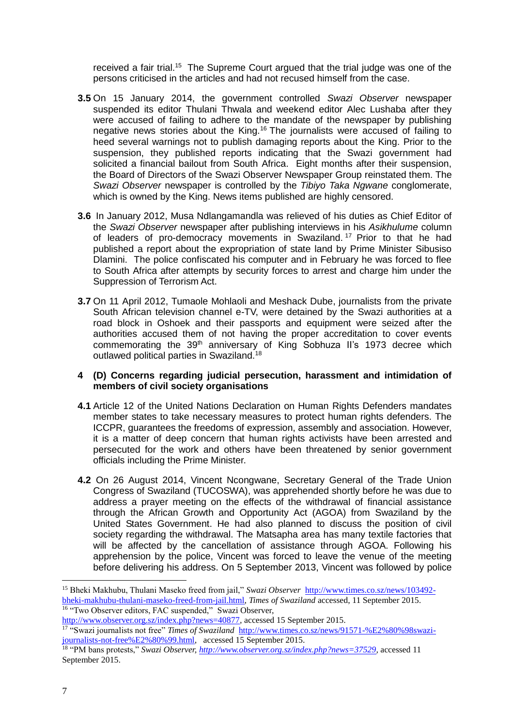received a fair trial.<sup>15</sup> The Supreme Court argued that the trial judge was one of the persons criticised in the articles and had not recused himself from the case.

- **3.5** On 15 January 2014, the government controlled *Swazi Observer* newspaper suspended its editor Thulani Thwala and weekend editor Alec Lushaba after they were accused of failing to adhere to the mandate of the newspaper by publishing negative news stories about the King.<sup>16</sup> The journalists were accused of failing to heed several warnings not to publish damaging reports about the King. Prior to the suspension, they published reports indicating that the Swazi government had solicited a financial bailout from South Africa. Eight months after their suspension, the Board of Directors of the Swazi Observer Newspaper Group reinstated them. The *Swazi Observer* newspaper is controlled by the *Tibiyo Taka Ngwane* conglomerate, which is owned by the King. News items published are highly censored.
- **3.6** In January 2012, Musa Ndlangamandla was relieved of his duties as Chief Editor of the *Swazi Observer* newspaper after publishing interviews in his *Asikhulume* column of leaders of pro-democracy movements in Swaziland. <sup>17</sup> Prior to that he had published a report about the expropriation of state land by Prime Minister Sibusiso Dlamini. The police confiscated his computer and in February he was forced to flee to South Africa after attempts by security forces to arrest and charge him under the Suppression of Terrorism Act.
- **3.7** On 11 April 2012, Tumaole Mohlaoli and Meshack Dube, journalists from the private South African television channel e-TV, were detained by the Swazi authorities at a road block in Oshoek and their passports and equipment were seized after the authorities accused them of not having the proper accreditation to cover events commemorating the 39<sup>th</sup> anniversary of King Sobhuza II's 1973 decree which outlawed political parties in Swaziland.<sup>18</sup>

#### **4 (D) Concerns regarding judicial persecution, harassment and intimidation of members of civil society organisations**

- **4.1** Article 12 of the United Nations Declaration on Human Rights Defenders mandates member states to take necessary measures to protect human rights defenders. The ICCPR, guarantees the freedoms of expression, assembly and association. However, it is a matter of deep concern that human rights activists have been arrested and persecuted for the work and others have been threatened by senior government officials including the Prime Minister.
- **4.2** On 26 August 2014, Vincent Ncongwane, Secretary General of the Trade Union Congress of Swaziland (TUCOSWA), was apprehended shortly before he was due to address a prayer meeting on the effects of the withdrawal of financial assistance through the African Growth and Opportunity Act (AGOA) from Swaziland by the United States Government. He had also planned to discuss the position of civil society regarding the withdrawal. The Matsapha area has many textile factories that will be affected by the cancellation of assistance through AGOA. Following his apprehension by the police, Vincent was forced to leave the venue of the meeting before delivering his address. On 5 September 2013, Vincent was followed by police

<http://www.observer.org.sz/index.php?news=40877>*,* accessed 15 September 2015.

<sup>17</sup> "Swazi journalists not free" *Times of Swaziland* [http://www.times.co.sz/news/91571-%E2%80%98swazi](http://www.times.co.sz/news/91571-%E2%80%98swazi-journalists-not-free%E2%80%99.html)[journalists-not-free%E2%80%99.html,](http://www.times.co.sz/news/91571-%E2%80%98swazi-journalists-not-free%E2%80%99.html) accessed 15 September 2015.

<sup>15</sup> Bheki Makhubu, Thulani Maseko freed from jail," *Swazi Observer* [http://www.times.co.sz/news/103492](http://www.times.co.sz/news/103492-bheki-makhubu-thulani-maseko-freed-from-jail.html) [bheki-makhubu-thulani-maseko-freed-from-jail.html,](http://www.times.co.sz/news/103492-bheki-makhubu-thulani-maseko-freed-from-jail.html) *Times of Swaziland* accessed, 11 September 2015. <sup>16</sup> "Two Observer editors, FAC suspended," Swazi Observer,

<sup>18</sup> "PM bans protests," *Swazi Observer[, http://www.observer.org.sz/index.php?news=37529,](http://www.observer.org.sz/index.php?news=37529)* accessed 11 September 2015.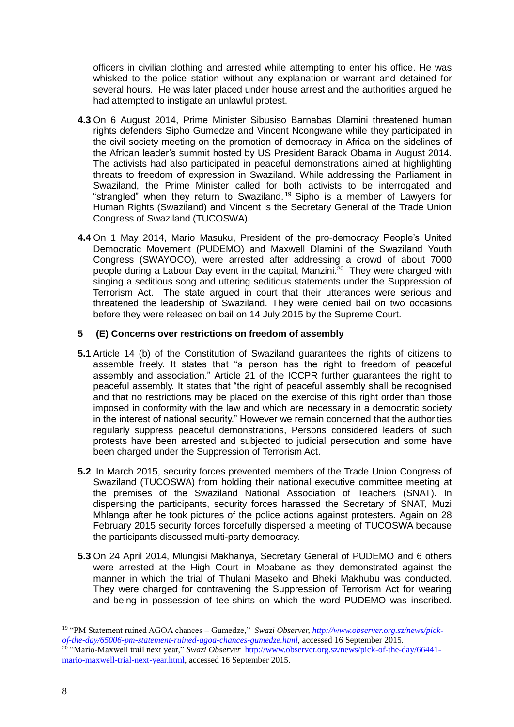officers in civilian clothing and arrested while attempting to enter his office. He was whisked to the police station without any explanation or warrant and detained for several hours. He was later placed under house arrest and the authorities argued he had attempted to instigate an unlawful protest.

- **4.3** On 6 August 2014, Prime Minister Sibusiso Barnabas Dlamini threatened human rights defenders Sipho Gumedze and Vincent Ncongwane while they participated in the civil society meeting on the promotion of democracy in Africa on the sidelines of the African leader's summit hosted by US President Barack Obama in August 2014. The activists had also participated in peaceful demonstrations aimed at highlighting threats to freedom of expression in Swaziland. While addressing the Parliament in Swaziland, the Prime Minister called for both activists to be interrogated and "strangled" when they return to Swaziland. <sup>19</sup> Sipho is a member of Lawyers for Human Rights (Swaziland) and Vincent is the Secretary General of the Trade Union Congress of Swaziland (TUCOSWA).
- **4.4** On 1 May 2014, Mario Masuku, President of the pro-democracy People's United Democratic Movement (PUDEMO) and Maxwell Dlamini of the Swaziland Youth Congress (SWAYOCO), were arrested after addressing a crowd of about 7000 people during a Labour Day event in the capital, Manzini.<sup>20</sup> They were charged with singing a seditious song and uttering seditious statements under the Suppression of Terrorism Act. The state argued in court that their utterances were serious and threatened the leadership of Swaziland. They were denied bail on two occasions before they were released on bail on 14 July 2015 by the Supreme Court.

#### **5 (E) Concerns over restrictions on freedom of assembly**

- **5.1** Article 14 (b) of the Constitution of Swaziland guarantees the rights of citizens to assemble freely. It states that "a person has the right to freedom of peaceful assembly and association." Article 21 of the ICCPR further quarantees the right to peaceful assembly. It states that "the right of peaceful assembly shall be recognised and that no restrictions may be placed on the exercise of this right order than those imposed in conformity with the law and which are necessary in a democratic society in the interest of national security." However we remain concerned that the authorities regularly suppress peaceful demonstrations, Persons considered leaders of such protests have been arrested and subjected to judicial persecution and some have been charged under the Suppression of Terrorism Act.
- **5.2** In March 2015, security forces prevented members of the Trade Union Congress of Swaziland (TUCOSWA) from holding their national executive committee meeting at the premises of the Swaziland National Association of Teachers (SNAT). In dispersing the participants, security forces harassed the Secretary of SNAT, Muzi Mhlanga after he took pictures of the police actions against protesters. Again on 28 February 2015 security forces forcefully dispersed a meeting of TUCOSWA because the participants discussed multi-party democracy.
- **5.3** On 24 April 2014, Mlungisi Makhanya, Secretary General of PUDEMO and 6 others were arrested at the High Court in Mbabane as they demonstrated against the manner in which the trial of Thulani Maseko and Bheki Makhubu was conducted. They were charged for contravening the Suppression of Terrorism Act for wearing and being in possession of tee-shirts on which the word PUDEMO was inscribed.

<sup>19</sup> "PM Statement ruined AGOA chances – Gumedze," *Swazi Observer, [http://www.observer.org.sz/news/pick](http://www.observer.org.sz/news/pick-of-the-day/65006-pm-statement-ruined-agoa-chances-gumedze.html)[of-the-day/65006-pm-statement-ruined-agoa-chances-gumedze.html](http://www.observer.org.sz/news/pick-of-the-day/65006-pm-statement-ruined-agoa-chances-gumedze.html)*, accessed 16 September 2015.

<sup>&</sup>lt;sup>20</sup> "Mario-Maxwell trail next year," *Swazi Observer* [http://www.observer.org.sz/news/pick-of-the-day/66441](http://www.observer.org.sz/news/pick-of-the-day/66441-mario-maxwell-trial-next-year.html) [mario-maxwell-trial-next-year.html,](http://www.observer.org.sz/news/pick-of-the-day/66441-mario-maxwell-trial-next-year.html) accessed 16 September 2015.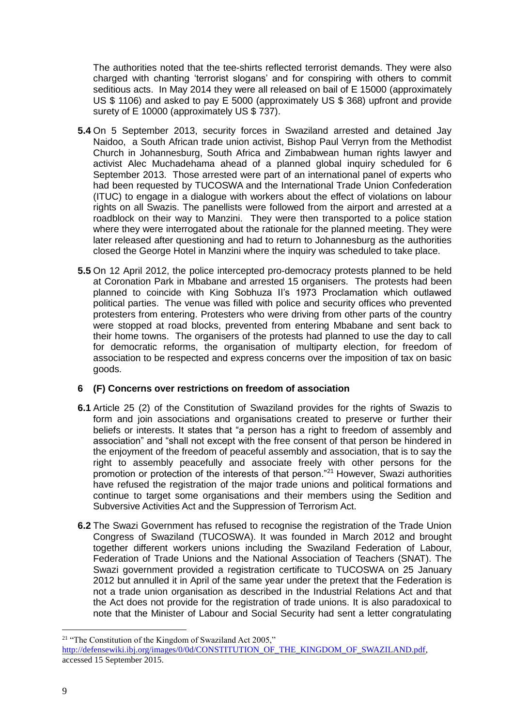The authorities noted that the tee-shirts reflected terrorist demands. They were also charged with chanting 'terrorist slogans' and for conspiring with others to commit seditious acts. In May 2014 they were all released on bail of E 15000 (approximately US \$ 1106) and asked to pay E 5000 (approximately US \$ 368) upfront and provide surety of E 10000 (approximately US \$ 737).

- **5.4** On 5 September 2013, security forces in Swaziland arrested and detained Jay Naidoo, a South African trade union activist, Bishop Paul Verryn from the Methodist Church in Johannesburg, South Africa and Zimbabwean human rights lawyer and activist Alec Muchadehama ahead of a planned global inquiry scheduled for 6 September 2013. Those arrested were part of an international panel of experts who had been requested by TUCOSWA and the International Trade Union Confederation (ITUC) to engage in a dialogue with workers about the effect of violations on labour rights on all Swazis. The panellists were followed from the airport and arrested at a roadblock on their way to Manzini. They were then transported to a police station where they were interrogated about the rationale for the planned meeting. They were later released after questioning and had to return to Johannesburg as the authorities closed the George Hotel in Manzini where the inquiry was scheduled to take place.
- **5.5** On 12 April 2012, the police intercepted pro-democracy protests planned to be held at Coronation Park in Mbabane and arrested 15 organisers. The protests had been planned to coincide with King Sobhuza II's 1973 Proclamation which outlawed political parties. The venue was filled with police and security offices who prevented protesters from entering. Protesters who were driving from other parts of the country were stopped at road blocks, prevented from entering Mbabane and sent back to their home towns. The organisers of the protests had planned to use the day to call for democratic reforms, the organisation of multiparty election, for freedom of association to be respected and express concerns over the imposition of tax on basic goods.

#### **6 (F) Concerns over restrictions on freedom of association**

- **6.1** Article 25 (2) of the Constitution of Swaziland provides for the rights of Swazis to form and join associations and organisations created to preserve or further their beliefs or interests. It states that "a person has a right to freedom of assembly and association" and "shall not except with the free consent of that person be hindered in the enjoyment of the freedom of peaceful assembly and association, that is to say the right to assembly peacefully and associate freely with other persons for the promotion or protection of the interests of that person."<sup>21</sup> However, Swazi authorities have refused the registration of the major trade unions and political formations and continue to target some organisations and their members using the Sedition and Subversive Activities Act and the Suppression of Terrorism Act.
- **6.2** The Swazi Government has refused to recognise the registration of the Trade Union Congress of Swaziland (TUCOSWA). It was founded in March 2012 and brought together different workers unions including the Swaziland Federation of Labour, Federation of Trade Unions and the National Association of Teachers (SNAT). The Swazi government provided a registration certificate to TUCOSWA on 25 January 2012 but annulled it in April of the same year under the pretext that the Federation is not a trade union organisation as described in the Industrial Relations Act and that the Act does not provide for the registration of trade unions. It is also paradoxical to note that the Minister of Labour and Social Security had sent a letter congratulating

<u>.</u>

<sup>&</sup>lt;sup>21</sup> "The Constitution of the Kingdom of Swaziland Act 2005,"

[http://defensewiki.ibj.org/images/0/0d/CONSTITUTION\\_OF\\_THE\\_KINGDOM\\_OF\\_SWAZILAND.pdf,](http://defensewiki.ibj.org/images/0/0d/CONSTITUTION_OF_THE_KINGDOM_OF_SWAZILAND.pdf) accessed 15 September 2015.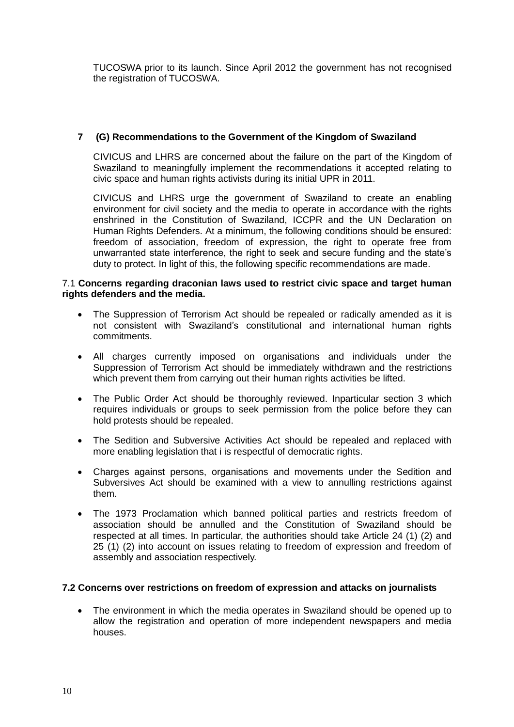TUCOSWA prior to its launch. Since April 2012 the government has not recognised the registration of TUCOSWA.

#### **7 (G) Recommendations to the Government of the Kingdom of Swaziland**

CIVICUS and LHRS are concerned about the failure on the part of the Kingdom of Swaziland to meaningfully implement the recommendations it accepted relating to civic space and human rights activists during its initial UPR in 2011.

CIVICUS and LHRS urge the government of Swaziland to create an enabling environment for civil society and the media to operate in accordance with the rights enshrined in the Constitution of Swaziland, ICCPR and the UN Declaration on Human Rights Defenders. At a minimum, the following conditions should be ensured: freedom of association, freedom of expression, the right to operate free from unwarranted state interference, the right to seek and secure funding and the state's duty to protect. In light of this, the following specific recommendations are made.

#### 7.1 **Concerns regarding draconian laws used to restrict civic space and target human rights defenders and the media.**

- The Suppression of Terrorism Act should be repealed or radically amended as it is not consistent with Swaziland's constitutional and international human rights commitments.
- All charges currently imposed on organisations and individuals under the Suppression of Terrorism Act should be immediately withdrawn and the restrictions which prevent them from carrying out their human rights activities be lifted.
- The Public Order Act should be thoroughly reviewed. Inparticular section 3 which requires individuals or groups to seek permission from the police before they can hold protests should be repealed.
- The Sedition and Subversive Activities Act should be repealed and replaced with more enabling legislation that i is respectful of democratic rights.
- Charges against persons, organisations and movements under the Sedition and Subversives Act should be examined with a view to annulling restrictions against them.
- The 1973 Proclamation which banned political parties and restricts freedom of association should be annulled and the Constitution of Swaziland should be respected at all times. In particular, the authorities should take Article 24 (1) (2) and 25 (1) (2) into account on issues relating to freedom of expression and freedom of assembly and association respectively.

#### **7.2 Concerns over restrictions on freedom of expression and attacks on journalists**

 The environment in which the media operates in Swaziland should be opened up to allow the registration and operation of more independent newspapers and media houses.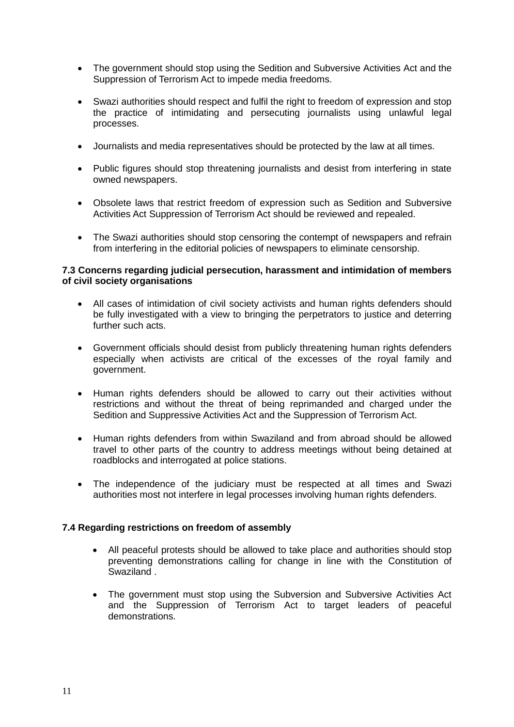- The government should stop using the Sedition and Subversive Activities Act and the Suppression of Terrorism Act to impede media freedoms.
- Swazi authorities should respect and fulfil the right to freedom of expression and stop the practice of intimidating and persecuting journalists using unlawful legal processes.
- Journalists and media representatives should be protected by the law at all times.
- Public figures should stop threatening journalists and desist from interfering in state owned newspapers.
- Obsolete laws that restrict freedom of expression such as Sedition and Subversive Activities Act Suppression of Terrorism Act should be reviewed and repealed.
- The Swazi authorities should stop censoring the contempt of newspapers and refrain from interfering in the editorial policies of newspapers to eliminate censorship.

#### **7.3 Concerns regarding judicial persecution, harassment and intimidation of members of civil society organisations**

- All cases of intimidation of civil society activists and human rights defenders should be fully investigated with a view to bringing the perpetrators to justice and deterring further such acts.
- Government officials should desist from publicly threatening human rights defenders especially when activists are critical of the excesses of the royal family and government.
- Human rights defenders should be allowed to carry out their activities without restrictions and without the threat of being reprimanded and charged under the Sedition and Suppressive Activities Act and the Suppression of Terrorism Act.
- Human rights defenders from within Swaziland and from abroad should be allowed travel to other parts of the country to address meetings without being detained at roadblocks and interrogated at police stations.
- The independence of the judiciary must be respected at all times and Swazi authorities most not interfere in legal processes involving human rights defenders.

#### **7.4 Regarding restrictions on freedom of assembly**

- All peaceful protests should be allowed to take place and authorities should stop preventing demonstrations calling for change in line with the Constitution of Swaziland .
- The government must stop using the Subversion and Subversive Activities Act and the Suppression of Terrorism Act to target leaders of peaceful demonstrations.